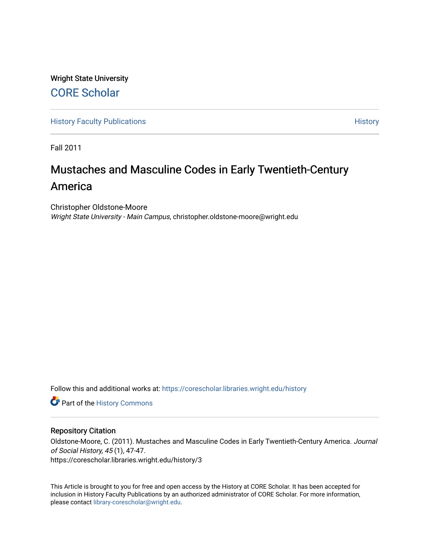Wright State University [CORE Scholar](https://corescholar.libraries.wright.edu/)

[History Faculty Publications](https://corescholar.libraries.wright.edu/history) **History** [History](https://corescholar.libraries.wright.edu/history_comm) **History** 

Fall 2011

# Mustaches and Masculine Codes in Early Twentieth-Century America

Christopher Oldstone-Moore Wright State University - Main Campus, christopher.oldstone-moore@wright.edu

Follow this and additional works at: [https://corescholar.libraries.wright.edu/history](https://corescholar.libraries.wright.edu/history?utm_source=corescholar.libraries.wright.edu%2Fhistory%2F3&utm_medium=PDF&utm_campaign=PDFCoverPages) 

Part of the [History Commons](http://network.bepress.com/hgg/discipline/489?utm_source=corescholar.libraries.wright.edu%2Fhistory%2F3&utm_medium=PDF&utm_campaign=PDFCoverPages) 

### Repository Citation

Oldstone-Moore, C. (2011). Mustaches and Masculine Codes in Early Twentieth-Century America. Journal of Social History, 45 (1), 47-47. https://corescholar.libraries.wright.edu/history/3

This Article is brought to you for free and open access by the History at CORE Scholar. It has been accepted for inclusion in History Faculty Publications by an authorized administrator of CORE Scholar. For more information, please contact [library-corescholar@wright.edu](mailto:library-corescholar@wright.edu).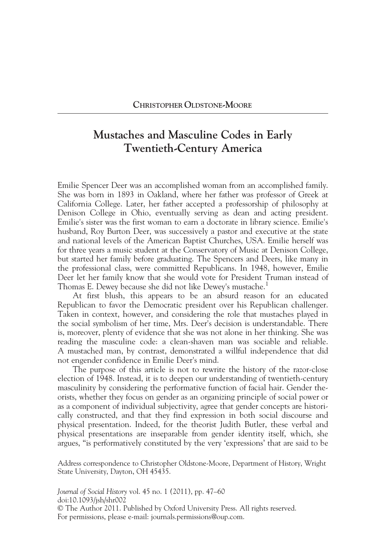## Mustaches and Masculine Codes in Early Twentieth-Century America

Emilie Spencer Deer was an accomplished woman from an accomplished family. She was born in 1893 in Oakland, where her father was professor of Greek at California College. Later, her father accepted a professorship of philosophy at Denison College in Ohio, eventually serving as dean and acting president. Emilie's sister was the first woman to earn a doctorate in library science. Emilie's husband, Roy Burton Deer, was successively a pastor and executive at the state and national levels of the American Baptist Churches, USA. Emilie herself was for three years a music student at the Conservatory of Music at Denison College, but started her family before graduating. The Spencers and Deers, like many in the professional class, were committed Republicans. In 1948, however, Emilie Deer let her family know that she would vote for President Truman instead of Thomas E. Dewey because she did not like Dewey's mustache.<sup>1</sup>

At first blush, this appears to be an absurd reason for an educated Republican to favor the Democratic president over his Republican challenger. Taken in context, however, and considering the role that mustaches played in the social symbolism of her time, Mrs. Deer's decision is understandable. There is, moreover, plenty of evidence that she was not alone in her thinking. She was reading the masculine code: a clean-shaven man was sociable and reliable. A mustached man, by contrast, demonstrated a willful independence that did not engender confidence in Emilie Deer's mind.

The purpose of this article is not to rewrite the history of the razor-close election of 1948. Instead, it is to deepen our understanding of twentieth-century masculinity by considering the performative function of facial hair. Gender theorists, whether they focus on gender as an organizing principle of social power or as a component of individual subjectivity, agree that gender concepts are historically constructed, and that they find expression in both social discourse and physical presentation. Indeed, for the theorist Judith Butler, these verbal and physical presentations are inseparable from gender identity itself, which, she argues, "is performatively constituted by the very 'expressions' that are said to be

Address correspondence to Christopher Oldstone-Moore, Department of History, Wright State University, Dayton, OH 45435.

Journal of Social History vol. 45 no. 1 (2011), pp. 47–60 doi:10.1093/jsh/shr002 © The Author 2011. Published by Oxford University Press. All rights reserved. For permissions, please e-mail: journals.permissions@oup.com.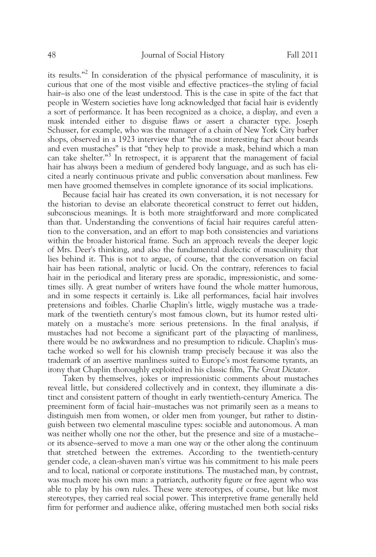its results."<sup>2</sup> In consideration of the physical performance of masculinity, it is curious that one of the most visible and effective practices–the styling of facial hair–is also one of the least understood. This is the case in spite of the fact that people in Western societies have long acknowledged that facial hair is evidently a sort of performance. It has been recognized as a choice, a display, and even a mask intended either to disguise flaws or assert a character type. Joseph Schusser, for example, who was the manager of a chain of New York City barber shops, observed in a 1923 interview that "the most interesting fact about beards and even mustaches" is that "they help to provide a mask, behind which a man can take shelter." <sup>3</sup> In retrospect, it is apparent that the management of facial hair has always been a medium of gendered body language, and as such has elicited a nearly continuous private and public conversation about manliness. Few men have groomed themselves in complete ignorance of its social implications.

Because facial hair has created its own conversation, it is not necessary for the historian to devise an elaborate theoretical construct to ferret out hidden, subconscious meanings. It is both more straightforward and more complicated than that. Understanding the conventions of facial hair requires careful attention to the conversation, and an effort to map both consistencies and variations within the broader historical frame. Such an approach reveals the deeper logic of Mrs. Deer's thinking, and also the fundamental dialectic of masculinity that lies behind it. This is not to argue, of course, that the conversation on facial hair has been rational, analytic or lucid. On the contrary, references to facial hair in the periodical and literary press are sporadic, impressionistic, and sometimes silly. A great number of writers have found the whole matter humorous, and in some respects it certainly is. Like all performances, facial hair involves pretensions and foibles. Charlie Chaplin's little, wiggly mustache was a trademark of the twentieth century's most famous clown, but its humor rested ultimately on a mustache's more serious pretensions. In the final analysis, if mustaches had not become a significant part of the playacting of manliness, there would be no awkwardness and no presumption to ridicule. Chaplin's mustache worked so well for his clownish tramp precisely because it was also the trademark of an assertive manliness suited to Europe's most fearsome tyrants, an irony that Chaplin thoroughly exploited in his classic film, The Great Dictator.

Taken by themselves, jokes or impressionistic comments about mustaches reveal little, but considered collectively and in context, they illuminate a distinct and consistent pattern of thought in early twentieth-century America. The preeminent form of facial hair–mustaches was not primarily seen as a means to distinguish men from women, or older men from younger, but rather to distinguish between two elemental masculine types: sociable and autonomous. A man was neither wholly one nor the other, but the presence and size of a mustache– or its absence–served to move a man one way or the other along the continuum that stretched between the extremes. According to the twentieth-century gender code, a clean-shaven man's virtue was his commitment to his male peers and to local, national or corporate institutions. The mustached man, by contrast, was much more his own man: a patriarch, authority figure or free agent who was able to play by his own rules. These were stereotypes, of course, but like most stereotypes, they carried real social power. This interpretive frame generally held firm for performer and audience alike, offering mustached men both social risks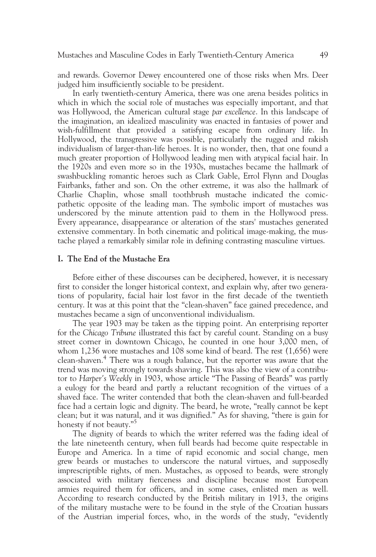and rewards. Governor Dewey encountered one of those risks when Mrs. Deer judged him insufficiently sociable to be president.

In early twentieth-century America, there was one arena besides politics in which in which the social role of mustaches was especially important, and that was Hollywood, the American cultural stage *par excellence*. In this landscape of the imagination, an idealized masculinity was enacted in fantasies of power and wish-fulfillment that provided a satisfying escape from ordinary life. In Hollywood, the transgressive was possible, particularly the rugged and rakish individualism of larger-than-life heroes. It is no wonder, then, that one found a much greater proportion of Hollywood leading men with atypical facial hair. In the 1920s and even more so in the 1930s, mustaches became the hallmark of swashbuckling romantic heroes such as Clark Gable, Errol Flynn and Douglas Fairbanks, father and son. On the other extreme, it was also the hallmark of Charlie Chaplin, whose small toothbrush mustache indicated the comicpathetic opposite of the leading man. The symbolic import of mustaches was underscored by the minute attention paid to them in the Hollywood press. Every appearance, disappearance or alteration of the stars' mustaches generated extensive commentary. In both cinematic and political image-making, the mustache played a remarkably similar role in defining contrasting masculine virtues.

#### I. The End of the Mustache Era

Before either of these discourses can be deciphered, however, it is necessary first to consider the longer historical context, and explain why, after two generations of popularity, facial hair lost favor in the first decade of the twentieth century. It was at this point that the "clean-shaven" face gained precedence, and mustaches became a sign of unconventional individualism.

The year 1903 may be taken as the tipping point. An enterprising reporter for the Chicago Tribune illustrated this fact by careful count. Standing on a busy street corner in downtown Chicago, he counted in one hour 3,000 men, of whom 1,236 wore mustaches and 108 some kind of beard. The rest (1,656) were clean-shaven.<sup>4</sup> There was a rough balance, but the reporter was aware that the trend was moving strongly towards shaving. This was also the view of a contributor to Harper's Weekly in 1903, whose article "The Passing of Beards" was partly a eulogy for the beard and partly a reluctant recognition of the virtues of a shaved face. The writer contended that both the clean-shaven and full-bearded face had a certain logic and dignity. The beard, he wrote, "really cannot be kept clean; but it was natural, and it was dignified." As for shaving, "there is gain for honesty if not beauty." 5

The dignity of beards to which the writer referred was the fading ideal of the late nineteenth century, when full beards had become quite respectable in Europe and America. In a time of rapid economic and social change, men grew beards or mustaches to underscore the natural virtues, and supposedly imprescriptible rights, of men. Mustaches, as opposed to beards, were strongly associated with military fierceness and discipline because most European armies required them for officers, and in some cases, enlisted men as well. According to research conducted by the British military in 1913, the origins of the military mustache were to be found in the style of the Croatian hussars of the Austrian imperial forces, who, in the words of the study, "evidently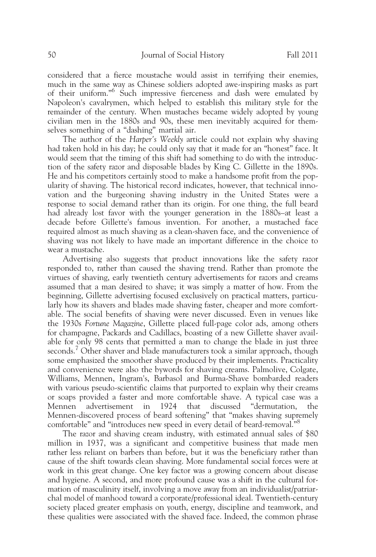considered that a fierce moustache would assist in terrifying their enemies, much in the same way as Chinese soldiers adopted awe-inspiring masks as part of their uniform." <sup>6</sup> Such impressive fierceness and dash were emulated by Napoleon's cavalrymen, which helped to establish this military style for the remainder of the century. When mustaches became widely adopted by young civilian men in the 1880s and 90s, these men inevitably acquired for themselves something of a "dashing" martial air.

The author of the Harper's Weekly article could not explain why shaving had taken hold in his day; he could only say that it made for an "honest" face. It would seem that the timing of this shift had something to do with the introduction of the safety razor and disposable blades by King C. Gillette in the 1890s. He and his competitors certainly stood to make a handsome profit from the popularity of shaving. The historical record indicates, however, that technical innovation and the burgeoning shaving industry in the United States were a response to social demand rather than its origin. For one thing, the full beard had already lost favor with the younger generation in the 1880s–at least a decade before Gillette's famous invention. For another, a mustached face required almost as much shaving as a clean-shaven face, and the convenience of shaving was not likely to have made an important difference in the choice to wear a mustache.

Advertising also suggests that product innovations like the safety razor responded to, rather than caused the shaving trend. Rather than promote the virtues of shaving, early twentieth century advertisements for razors and creams assumed that a man desired to shave; it was simply a matter of how. From the beginning, Gillette advertising focused exclusively on practical matters, particularly how its shavers and blades made shaving faster, cheaper and more comfortable. The social benefits of shaving were never discussed. Even in venues like the 1930s Fortune Magazine, Gillette placed full-page color ads, among others for champagne, Packards and Cadillacs, boasting of a new Gillette shaver available for only 98 cents that permitted a man to change the blade in just three seconds.<sup>7</sup> Other shaver and blade manufacturers took a similar approach, though some emphasized the smoother shave produced by their implements. Practicality and convenience were also the bywords for shaving creams. Palmolive, Colgate, Williams, Mennen, Ingram's, Barbasol and Burma-Shave bombarded readers with various pseudo-scientific claims that purported to explain why their creams or soaps provided a faster and more comfortable shave. A typical case was a Mennen advertisement in 1924 that discussed "dermutation, the Mennen-discovered process of beard softening" that "makes shaving supremely comfortable" and "introduces new speed in every detail of beard-removal."<sup>8</sup>

The razor and shaving cream industry, with estimated annual sales of \$80 million in 1937, was a significant and competitive business that made men rather less reliant on barbers than before, but it was the beneficiary rather than cause of the shift towards clean shaving. More fundamental social forces were at work in this great change. One key factor was a growing concern about disease and hygiene. A second, and more profound cause was a shift in the cultural formation of masculinity itself, involving a move away from an individualist/patriarchal model of manhood toward a corporate/professional ideal. Twentieth-century society placed greater emphasis on youth, energy, discipline and teamwork, and these qualities were associated with the shaved face. Indeed, the common phrase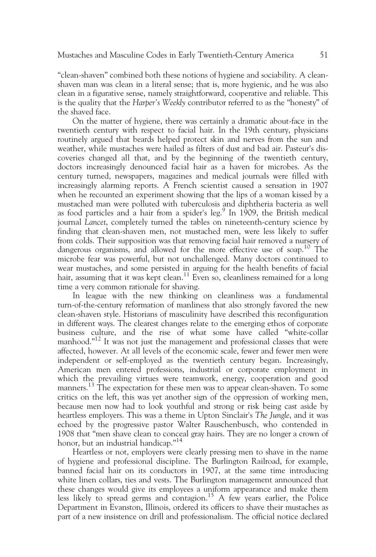"clean-shaven" combined both these notions of hygiene and sociability. A cleanshaven man was clean in a literal sense; that is, more hygienic, and he was also clean in a figurative sense, namely straightforward, cooperative and reliable. This is the quality that the Harper's Weekly contributor referred to as the "honesty" of the shaved face.

On the matter of hygiene, there was certainly a dramatic about-face in the twentieth century with respect to facial hair. In the 19th century, physicians routinely argued that beards helped protect skin and nerves from the sun and weather, while mustaches were hailed as filters of dust and bad air. Pasteur's discoveries changed all that, and by the beginning of the twentieth century, doctors increasingly denounced facial hair as a haven for microbes. As the century turned, newspapers, magazines and medical journals were filled with increasingly alarming reports. A French scientist caused a sensation in 1907 when he recounted an experiment showing that the lips of a woman kissed by a mustached man were polluted with tuberculosis and diphtheria bacteria as well as food particles and a hair from a spider's leg.<sup>9</sup> In 1909, the British medical journal Lancet, completely turned the tables on nineteenth-century science by finding that clean-shaven men, not mustached men, were less likely to suffer from colds. Their supposition was that removing facial hair removed a nursery of dangerous organisms, and allowed for the more effective use of soap.<sup>10</sup> The microbe fear was powerful, but not unchallenged. Many doctors continued to wear mustaches, and some persisted in arguing for the health benefits of facial hair, assuming that it was kept clean.<sup>11</sup> Even so, cleanliness remained for a long time a very common rationale for shaving.

In league with the new thinking on cleanliness was a fundamental turn-of-the-century reformation of manliness that also strongly favored the new clean-shaven style. Historians of masculinity have described this reconfiguration in different ways. The clearest changes relate to the emerging ethos of corporate business culture, and the rise of what some have called "white-collar manhood."<sup>12</sup> It was not just the management and professional classes that were affected, however. At all levels of the economic scale, fewer and fewer men were independent or self-employed as the twentieth century began. Increasingly, American men entered professions, industrial or corporate employment in which the prevailing virtues were teamwork, energy, cooperation and good manners.<sup>13</sup> The expectation for these men was to appear clean-shaven. To some critics on the left, this was yet another sign of the oppression of working men, because men now had to look youthful and strong or risk being cast aside by heartless employers. This was a theme in Upton Sinclair's The Jungle, and it was echoed by the progressive pastor Walter Rauschenbusch, who contended in 1908 that "men shave clean to conceal gray hairs. They are no longer a crown of honor, but an industrial handicap." 14

Heartless or not, employers were clearly pressing men to shave in the name of hygiene and professional discipline. The Burlington Railroad, for example, banned facial hair on its conductors in 1907, at the same time introducing white linen collars, ties and vests. The Burlington management announced that these changes would give its employees a uniform appearance and make them less likely to spread germs and contagion.<sup>15</sup> A few years earlier, the Police Department in Evanston, Illinois, ordered its officers to shave their mustaches as part of a new insistence on drill and professionalism. The official notice declared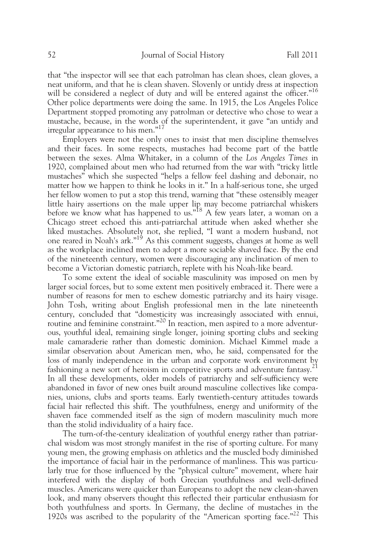that "the inspector will see that each patrolman has clean shoes, clean gloves, a neat uniform, and that he is clean shaven. Slovenly or untidy dress at inspection will be considered a neglect of duty and will be entered against the officer."<sup>16</sup> Other police departments were doing the same. In 1915, the Los Angeles Police Department stopped promoting any patrolman or detective who chose to wear a mustache, because, in the words of the superintendent, it gave "an untidy and irregular appearance to his men."<sup>17</sup>

Employers were not the only ones to insist that men discipline themselves and their faces. In some respects, mustaches had become part of the battle between the sexes. Alma Whitaker, in a column of the Los Angeles Times in 1920, complained about men who had returned from the war with "tricky little mustaches" which she suspected "helps a fellow feel dashing and debonair, no matter how we happen to think he looks in it." In a half-serious tone, she urged her fellow women to put a stop this trend, warning that "these ostensibly meager little hairy assertions on the male upper lip may become patriarchal whiskers before we know what has happened to us."<sup>18</sup> A few years later, a woman on a Chicago street echoed this anti-patriarchal attitude when asked whether she liked mustaches. Absolutely not, she replied, "I want a modern husband, not one reared in Noah's ark."<sup>19</sup> As this comment suggests, changes at home as well as the workplace inclined men to adopt a more sociable shaved face. By the end of the nineteenth century, women were discouraging any inclination of men to become a Victorian domestic patriarch, replete with his Noah-like beard.

To some extent the ideal of sociable masculinity was imposed on men by larger social forces, but to some extent men positively embraced it. There were a number of reasons for men to eschew domestic patriarchy and its hairy visage. John Tosh, writing about English professional men in the late nineteenth century, concluded that "domesticity was increasingly associated with ennui, routine and feminine constraint."<sup>20</sup> In reaction, men aspired to a more adventurous, youthful ideal, remaining single longer, joining sporting clubs and seeking male camaraderie rather than domestic dominion. Michael Kimmel made a similar observation about American men, who, he said, compensated for the loss of manly independence in the urban and corporate work environment by fashioning a new sort of heroism in competitive sports and adventure fantasy. In all these developments, older models of patriarchy and self-sufficiency were abandoned in favor of new ones built around masculine collectives like companies, unions, clubs and sports teams. Early twentieth-century attitudes towards facial hair reflected this shift. The youthfulness, energy and uniformity of the shaven face commended itself as the sign of modern masculinity much more than the stolid individuality of a hairy face.

The turn-of-the-century idealization of youthful energy rather than patriarchal wisdom was most strongly manifest in the rise of sporting culture. For many young men, the growing emphasis on athletics and the muscled body diminished the importance of facial hair in the performance of manliness. This was particularly true for those influenced by the "physical culture" movement, where hair interfered with the display of both Grecian youthfulness and well-defined muscles. Americans were quicker than Europeans to adopt the new clean-shaven look, and many observers thought this reflected their particular enthusiasm for both youthfulness and sports. In Germany, the decline of mustaches in the 1920s was ascribed to the popularity of the "American sporting face."<sup>22</sup> This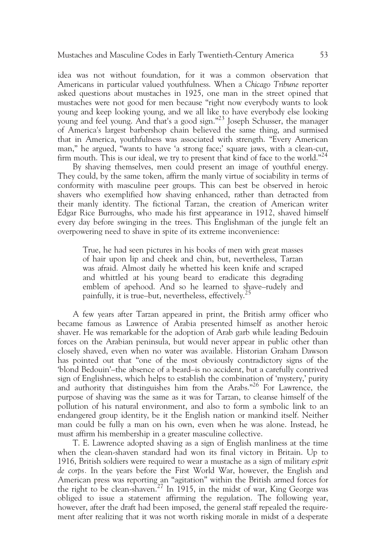idea was not without foundation, for it was a common observation that Americans in particular valued youthfulness. When a Chicago Tribune reporter asked questions about mustaches in 1925, one man in the street opined that mustaches were not good for men because "right now everybody wants to look young and keep looking young, and we all like to have everybody else looking young and feel young. And that's a good sign." <sup>23</sup> Joseph Schusser, the manager of America's largest barbershop chain believed the same thing, and surmised that in America, youthfulness was associated with strength. "Every American man," he argued, "wants to have 'a strong face;' square jaws, with a clean-cut, firm mouth. This is our ideal, we try to present that kind of face to the world."<sup>24</sup>

By shaving themselves, men could present an image of youthful energy. They could, by the same token, affirm the manly virtue of sociability in terms of conformity with masculine peer groups. This can best be observed in heroic shavers who exemplified how shaving enhanced, rather than detracted from their manly identity. The fictional Tarzan, the creation of American writer Edgar Rice Burroughs, who made his first appearance in 1912, shaved himself every day before swinging in the trees. This Englishman of the jungle felt an overpowering need to shave in spite of its extreme inconvenience:

True, he had seen pictures in his books of men with great masses of hair upon lip and cheek and chin, but, nevertheless, Tarzan was afraid. Almost daily he whetted his keen knife and scraped and whittled at his young beard to eradicate this degrading emblem of apehood. And so he learned to shave–rudely and painfully, it is true–but, nevertheless, effectively.<sup>25</sup>

A few years after Tarzan appeared in print, the British army officer who became famous as Lawrence of Arabia presented himself as another heroic shaver. He was remarkable for the adoption of Arab garb while leading Bedouin forces on the Arabian peninsula, but would never appear in public other than closely shaved, even when no water was available. Historian Graham Dawson has pointed out that "one of the most obviously contradictory signs of the 'blond Bedouin'–the absence of a beard–is no accident, but a carefully contrived sign of Englishness, which helps to establish the combination of 'mystery,' purity and authority that distinguishes him from the Arabs."<sup>26</sup> For Lawrence, the purpose of shaving was the same as it was for Tarzan, to cleanse himself of the pollution of his natural environment, and also to form a symbolic link to an endangered group identity, be it the English nation or mankind itself. Neither man could be fully a man on his own, even when he was alone. Instead, he must affirm his membership in a greater masculine collective.

T. E. Lawrence adopted shaving as a sign of English manliness at the time when the clean-shaven standard had won its final victory in Britain. Up to 1916, British soldiers were required to wear a mustache as a sign of military esprit de corps. In the years before the First World War, however, the English and American press was reporting an "agitation" within the British armed forces for the right to be clean-shaven.<sup>27</sup> In 1915, in the midst of war, King George was obliged to issue a statement affirming the regulation. The following year, however, after the draft had been imposed, the general staff repealed the requirement after realizing that it was not worth risking morale in midst of a desperate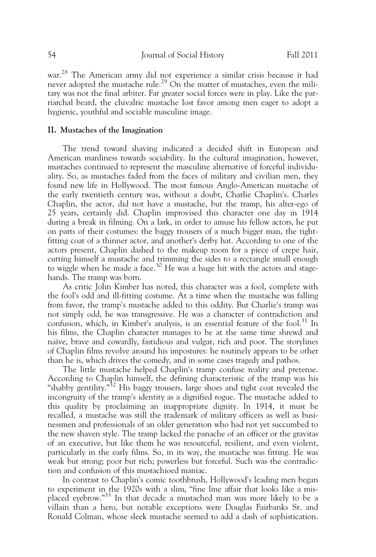war.<sup>28</sup> The American army did not experience a similar crisis because it had never adopted the mustache rule.<sup>29</sup> On the matter of mustaches, even the military was not the final arbiter. Far greater social forces were in play. Like the patriarchal beard, the chivalric mustache lost favor among men eager to adopt a hygienic, youthful and sociable masculine image.

#### II. Mustaches of the Imagination

The trend toward shaving indicated a decided shift in European and American manliness towards sociability. In the cultural imagination, however, mustaches continued to represent the masculine alternative of forceful individuality. So, as mustaches faded from the faces of military and civilian men, they found new life in Hollywood. The most famous Anglo-American mustache of the early twentieth century was, without a doubt, Charlie Chaplin's. Charles Chaplin, the actor, did not have a mustache, but the tramp, his alter-ego of 25 years, certainly did. Chaplin improvised this character one day in 1914 during a break in filming. On a lark, in order to amuse his fellow actors, he put on parts of their costumes: the baggy trousers of a much bigger man, the tightfitting coat of a thinner actor, and another's derby hat. According to one of the actors present, Chaplin dashed to the makeup room for a piece of crepe hair, cutting himself a mustache and trimming the sides to a rectangle small enough to wiggle when he made a face.<sup>30</sup> He was a huge hit with the actors and stagehands. The tramp was born.

As critic John Kimber has noted, this character was a fool, complete with the fool's odd and ill-fitting costume. At a time when the mustache was falling from favor, the tramp's mustache added to this oddity. But Charlie's tramp was not simply odd, he was transgressive. He was a character of contradiction and confusion, which, in Kimber's analysis, is an essential feature of the fool.<sup>31</sup> In his films, the Chaplin character manages to be at the same time shrewd and naïve, brave and cowardly, fastidious and vulgar, rich and poor. The storylines of Chaplin films revolve around his impostures: he routinely appears to be other than he is, which drives the comedy, and in some cases tragedy and pathos.

The little mustache helped Chaplin's tramp confuse reality and pretense. According to Chaplin himself, the defining characteristic of the tramp was his "shabby gentility."<sup>32</sup> His baggy trousers, large shoes and tight coat revealed the incongruity of the tramp's identity as a dignified rogue. The mustache added to this quality by proclaiming an inappropriate dignity. In 1914, it must be recalled, a mustache was still the trademark of military officers as well as businessmen and professionals of an older generation who had not yet succumbed to the new shaven style. The tramp lacked the panache of an officer or the gravitas of an executive, but like them he was resourceful, resilient, and even violent, particularly in the early films. So, in its way, the mustache was fitting. He was weak but strong; poor but rich; powerless but forceful. Such was the contradiction and confusion of this mustachioed maniac.

In contrast to Chaplin's comic toothbrush, Hollywood's leading men began to experiment in the 1920s with a slim, "fine line affair that looks like a misplaced eyebrow." <sup>33</sup> In that decade a mustached man was more likely to be a villain than a hero, but notable exceptions were Douglas Fairbanks Sr. and Ronald Colman, whose sleek mustache seemed to add a dash of sophistication.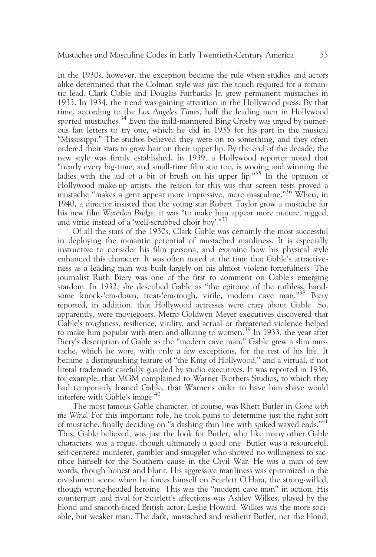In the 1930s, however, the exception became the rule when studios and actors alike determined that the Colman style was just the touch required for a romantic lead. Clark Gable and Douglas Fairbanks Jr. grew permanent mustaches in 1933. In 1934, the trend was gaining attention in the Hollywood press. By that time, according to the Los Angeles Times, half the leading men in Hollywood sported mustaches.<sup>34</sup> Even the mild-mannered Bing Crosby was urged by numerous fan letters to try one, which he did in 1935 for his part in the musical "Mississippi." The studios believed they were on to something, and they often ordered their stars to grow hair on their upper lip. By the end of the decade, the new style was firmly established. In 1939, a Hollywood reporter noted that "nearly every big-time, and small-time film star too, is wooing and winning the ladies with the aid of a bit of brush on his upper lip."<sup>35</sup> In the opinion of Hollywood make-up artists, the reason for this was that screen tests proved a mustache "makes a gent appear more impressive, more masculine." <sup>36</sup> When, in 1940, a director insisted that the young star Robert Taylor grow a mustache for his new film Waterloo Bridge, it was "to make him appear more mature, rugged, and virile instead of a 'well-scrubbed choir boy'."<sup>37</sup>

Of all the stars of the 1930s, Clark Gable was certainly the most successful in deploying the romantic potential of mustached manliness. It is especially instructive to consider his film persona, and examine how his physical style enhanced this character. It was often noted at the time that Gable's attractiveness as a leading man was built largely on his almost violent forcefulness. The journalist Ruth Biery was one of the first to comment on Gable's emerging stardom. In 1932, she described Gable as "the epitome of the ruthless, handsome knock-'em-down, treat-'em-rough, virile, modern cave man."<sup>38</sup> Biery reported, in addition, that Hollywood actresses were crazy about Gable. So, apparently, were moviegoers. Metro Goldwyn Meyer executives discovered that Gable's toughness, resilience, virility, and actual or threatened violence helped to make him popular with men and alluring to women.<sup>39</sup> In 1933, the year after Biery's description of Gable as the "modern cave man," Gable grew a slim mustache, which he wore, with only a few exceptions, for the rest of his life. It became a distinguishing feature of "the King of Hollywood," and a virtual, if not literal trademark carefully guarded by studio executives. It was reported in 1936, for example, that MGM complained to Warner Brothers Studios, to which they had temporarily loaned Gable, that Warner's order to have him shave would interfere with Gable's image.<sup>40</sup>

The most famous Gable character, of course, was Rhett Butler in Gone with the Wind. For this important role, he took pains to determine just the right sort of mustache, finally deciding on "a dashing thin line with spiked waxed ends."<sup>41</sup> This, Gable believed, was just the look for Butler, who like many other Gable characters, was a rogue, though ultimately a good one. Butler was a resourceful, self-centered murderer, gambler and smuggler who showed no willingness to sacrifice himself for the Southern cause in the Civil War. He was a man of few words, though honest and blunt. His aggressive manliness was epitomized in the ravishment scene when he forces himself on Scarlett O'Hara, the strong-willed, though wrong-headed heroine. This was the "modern cave man" in action. His counterpart and rival for Scarlett's affections was Ashley Wilkes, played by the blond and smooth-faced British actor, Leslie Howard. Wilkes was the more sociable, but weaker man. The dark, mustached and resilient Butler, not the blond,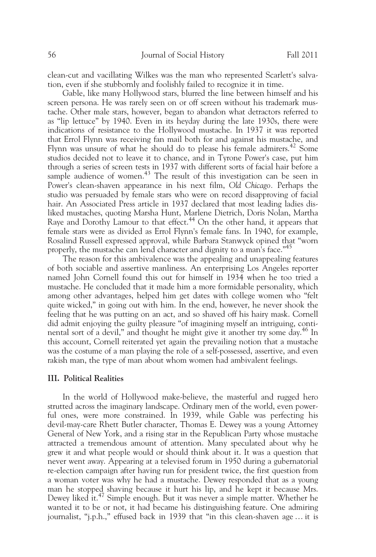clean-cut and vacillating Wilkes was the man who represented Scarlett's salvation, even if she stubbornly and foolishly failed to recognize it in time.

Gable, like many Hollywood stars, blurred the line between himself and his screen persona. He was rarely seen on or off screen without his trademark mustache. Other male stars, however, began to abandon what detractors referred to as "lip lettuce" by 1940. Even in its heyday during the late 1930s, there were indications of resistance to the Hollywood mustache. In 1937 it was reported that Errol Flynn was receiving fan mail both for and against his mustache, and Flynn was unsure of what he should do to please his female admirers.<sup>42</sup> Some studios decided not to leave it to chance, and in Tyrone Power's case, put him through a series of screen tests in 1937 with different sorts of facial hair before a sample audience of women.<sup>43</sup> The result of this investigation can be seen in Power's clean-shaven appearance in his next film, Old Chicago. Perhaps the studio was persuaded by female stars who were on record disapproving of facial hair. An Associated Press article in 1937 declared that most leading ladies disliked mustaches, quoting Marsha Hunt, Marlene Dietrich, Doris Nolan, Martha Raye and Dorothy Lamour to that effect.<sup>44</sup> On the other hand, it appears that female stars were as divided as Errol Flynn's female fans. In 1940, for example, Rosalind Russell expressed approval, while Barbara Stanwyck opined that "worn properly, the mustache can lend character and dignity to a man's face."<sup>45</sup>

The reason for this ambivalence was the appealing and unappealing features of both sociable and assertive manliness. An enterprising Los Angeles reporter named John Cornell found this out for himself in 1934 when he too tried a mustache. He concluded that it made him a more formidable personality, which among other advantages, helped him get dates with college women who "felt quite wicked," in going out with him. In the end, however, he never shook the feeling that he was putting on an act, and so shaved off his hairy mask. Cornell did admit enjoying the guilty pleasure "of imagining myself an intriguing, continental sort of a devil," and thought he might give it another try some day.<sup>46</sup> In this account, Cornell reiterated yet again the prevailing notion that a mustache was the costume of a man playing the role of a self-possessed, assertive, and even rakish man, the type of man about whom women had ambivalent feelings.

#### III. Political Realities

In the world of Hollywood make-believe, the masterful and rugged hero strutted across the imaginary landscape. Ordinary men of the world, even powerful ones, were more constrained. In 1939, while Gable was perfecting his devil-may-care Rhett Butler character, Thomas E. Dewey was a young Attorney General of New York, and a rising star in the Republican Party whose mustache attracted a tremendous amount of attention. Many speculated about why he grew it and what people would or should think about it. It was a question that never went away. Appearing at a televised forum in 1950 during a gubernatorial re-election campaign after having run for president twice, the first question from a woman voter was why he had a mustache. Dewey responded that as a young man he stopped shaving because it hurt his lip, and he kept it because Mrs. Dewey liked it.<sup>47</sup> Simple enough. But it was never a simple matter. Whether he wanted it to be or not, it had became his distinguishing feature. One admiring journalist, "j.p.h.," effused back in 1939 that "in this clean-shaven age … it is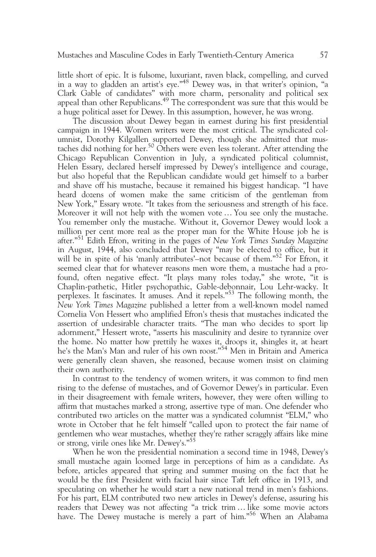little short of epic. It is fulsome, luxuriant, raven black, compelling, and curved in a way to gladden an artist's eye." <sup>48</sup> Dewey was, in that writer's opinion, "a Clark Gable of candidates" with more charm, personality and political sex appeal than other Republicans.<sup>49</sup> The correspondent was sure that this would be a huge political asset for Dewey. In this assumption, however, he was wrong.

The discussion about Dewey began in earnest during his first presidential campaign in 1944. Women writers were the most critical. The syndicated columnist, Dorothy Kilgallen supported Dewey, though she admitted that mustaches did nothing for her.<sup>50</sup> Others were even less tolerant. After attending the Chicago Republican Convention in July, a syndicated political columnist, Helen Essary, declared herself impressed by Dewey's intelligence and courage, but also hopeful that the Republican candidate would get himself to a barber and shave off his mustache, because it remained his biggest handicap. "I have heard dozens of women make the same criticism of the gentleman from New York," Essary wrote. "It takes from the seriousness and strength of his face. Moreover it will not help with the women vote … You see only the mustache. You remember only the mustache. Without it, Governor Dewey would look a million per cent more real as the proper man for the White House job he is after."<sup>51</sup> Edith Efron, writing in the pages of New York Times Sunday Magazine in August, 1944, also concluded that Dewey "may be elected to office, but it will be in spite of his 'manly attributes'-not because of them."<sup>52</sup> For Efron, it seemed clear that for whatever reasons men wore them, a mustache had a profound, often negative effect. "It plays many roles today," she wrote, "it is Chaplin-pathetic, Hitler psychopathic, Gable-debonnair, Lou Lehr-wacky. It perplexes. It fascinates. It amuses. And it repels." <sup>53</sup> The following month, the New York Times Magazine published a letter from a well-known model named Cornelia Von Hessert who amplified Efron's thesis that mustaches indicated the assertion of undesirable character traits. "The man who decides to sport lip adornment," Hessert wrote, "asserts his masculinity and desire to tyrannize over the home. No matter how prettily he waxes it, droops it, shingles it, at heart he's the Man's Man and ruler of his own roost."<sup>54</sup> Men in Britain and America were generally clean shaven, she reasoned, because women insist on claiming their own authority.

In contrast to the tendency of women writers, it was common to find men rising to the defense of mustaches, and of Governor Dewey's in particular. Even in their disagreement with female writers, however, they were often willing to affirm that mustaches marked a strong, assertive type of man. One defender who contributed two articles on the matter was a syndicated columnist "ELM," who wrote in October that he felt himself "called upon to protect the fair name of gentlemen who wear mustaches, whether they're rather scraggly affairs like mine or strong, virile ones like Mr. Dewey's."<sup>55</sup>

When he won the presidential nomination a second time in 1948, Dewey's small mustache again loomed large in perceptions of him as a candidate. As before, articles appeared that spring and summer musing on the fact that he would be the first President with facial hair since Taft left office in 1913, and speculating on whether he would start a new national trend in men's fashions. For his part, ELM contributed two new articles in Dewey's defense, assuring his readers that Dewey was not affecting "a trick trim … like some movie actors have. The Dewey mustache is merely a part of him."<sup>56</sup> When an Alabama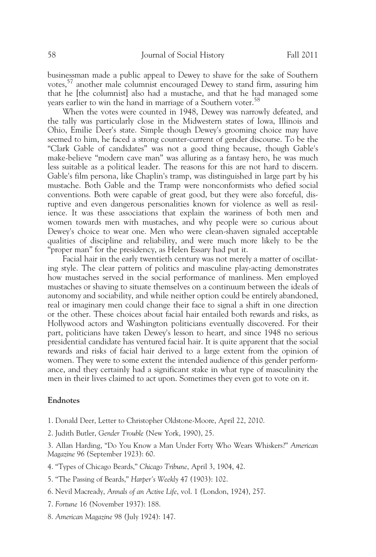businessman made a public appeal to Dewey to shave for the sake of Southern votes,<sup>57</sup> another male columnist encouraged Dewey to stand firm, assuring him that he [the columnist] also had a mustache, and that he had managed some years earlier to win the hand in marriage of a Southern voter.<sup>58</sup>

When the votes were counted in 1948, Dewey was narrowly defeated, and the tally was particularly close in the Midwestern states of Iowa, Illinois and Ohio, Emilie Deer's state. Simple though Dewey's grooming choice may have seemed to him, he faced a strong counter-current of gender discourse. To be the "Clark Gable of candidates" was not a good thing because, though Gable's make-believe "modern cave man" was alluring as a fantasy hero, he was much less suitable as a political leader. The reasons for this are not hard to discern. Gable's film persona, like Chaplin's tramp, was distinguished in large part by his mustache. Both Gable and the Tramp were nonconformists who defied social conventions. Both were capable of great good, but they were also forceful, disruptive and even dangerous personalities known for violence as well as resilience. It was these associations that explain the wariness of both men and women towards men with mustaches, and why people were so curious about Dewey's choice to wear one. Men who were clean-shaven signaled acceptable qualities of discipline and reliability, and were much more likely to be the "proper man" for the presidency, as Helen Essary had put it.

Facial hair in the early twentieth century was not merely a matter of oscillating style. The clear pattern of politics and masculine play-acting demonstrates how mustaches served in the social performance of manliness. Men employed mustaches or shaving to situate themselves on a continuum between the ideals of autonomy and sociability, and while neither option could be entirely abandoned, real or imaginary men could change their face to signal a shift in one direction or the other. These choices about facial hair entailed both rewards and risks, as Hollywood actors and Washington politicians eventually discovered. For their part, politicians have taken Dewey's lesson to heart, and since 1948 no serious presidential candidate has ventured facial hair. It is quite apparent that the social rewards and risks of facial hair derived to a large extent from the opinion of women. They were to some extent the intended audience of this gender performance, and they certainly had a significant stake in what type of masculinity the men in their lives claimed to act upon. Sometimes they even got to vote on it.

#### Endnotes

- 1. Donald Deer, Letter to Christopher Oldstone-Moore, April 22, 2010.
- 2. Judith Butler, Gender Trouble (New York, 1990), 25.

3. Allan Harding, "Do You Know a Man Under Forty Who Wears Whiskers?" American Magazine 96 (September 1923): 60.

- 4. "Types of Chicago Beards," Chicago Tribune, April 3, 1904, 42.
- 5. "The Passing of Beards," Harper's Weekly 47 (1903): 102.
- 6. Nevil Macready, Annals of an Active Life, vol. 1 (London, 1924), 257.
- 7. Fortune 16 (November 1937): 188.
- 8. American Magazine 98 (July 1924): 147.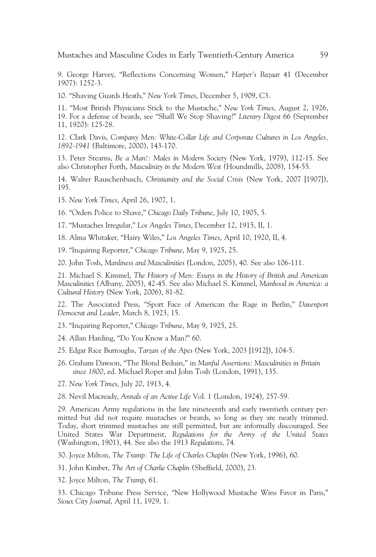9. George Harvey, "Reflections Concerning Women," Harper's Bazaar 41 (December 1907): 1252-3.

10. "Shaving Guards Heath," New York Times, December 5, 1909, C3.

11. "Most British Physicians Stick to the Mustache," New York Times, August 2, 1926, 19. For a defense of beards, see "Shall We Stop Shaving?" Literary Digest 66 (September 11, 1920): 125-28.

12. Clark Davis, Company Men: White-Collar Life and Corporate Cultures in Los Angeles, 1892-1941 (Baltimore, 2000), 143-170.

13. Peter Stearns, Be a Man!: Males in Modern Society (New York, 1979), 112-15. See also Christopher Forth, Masculinity in the Modern West (Houndmills, 2008), 154-55.

14. Walter Rauschenbusch, Christianity and the Social Crisis (New York, 2007 [1907]), 195.

15. New York Times, April 26, 1907, 1.

16. "Orders Police to Shave," Chicago Daily Tribune, July 10, 1905, 5.

17. "Mustaches Irregular," Los Angeles Times, December 12, 1915, II, 1.

18. Alma Whitaker, "Hairy Wiles," Los Angeles Times, April 10, 1920, II, 4.

19. "Inquiring Reporter," Chicago Tribune, May 9, 1925, 25.

20. John Tosh, Manliness and Masculinities (London, 2005), 40. See also 106-111.

21. Michael S. Kimmel, The History of Men: Essays in the History of British and American Masculinities (Albany, 2005), 42-45. See also Michael S. Kimmel, Manhood in America: a Cultural History (New York, 2006), 81-82.

22. The Associated Press, "Sport Face of American the Rage in Berlin," Davenport Democrat and Leader, March 8, 1923, 15.

23. "Inquiring Reporter," Chicago Tribune, May 9, 1925, 25.

24. Allan Harding, "Do You Know a Man?" 60.

25. Edgar Rice Burroughs, Tarzan of the Apes (New York, 2003 [1912]), 104-5.

26. Graham Dawson, "The Blond Beduin," in Manful Assertions: Masculinities in Britain since 1800, ed. Michael Roper and John Tosh (London, 1991), 135.

27. New York Times, July 20, 1913, 4.

28. Nevil Macready, Annals of an Active Life Vol. 1 (London, 1924), 257-59.

29. American Army regulations in the late nineteenth and early twentieth century permitted but did not require mustaches or beards, so long as they are neatly trimmed. Today, short trimmed mustaches are still permitted, but are informally discouraged. See United States War Department, Regulations for the Army of the United States (Washington, 1901), 44. See also the 1913 Regulations, 74.

30. Joyce Milton, The Tramp: The Life of Charles Chaplin (New York, 1996), 60.

31. John Kimber, The Art of Charlie Chaplin (Sheffield, 2000), 23.

32. Joyce Milton, The Tramp, 61.

33. Chicago Tribune Press Service, "New Hollywood Mustache Wins Favor in Paris," Sioux City Journal, April 11, 1929, 1.